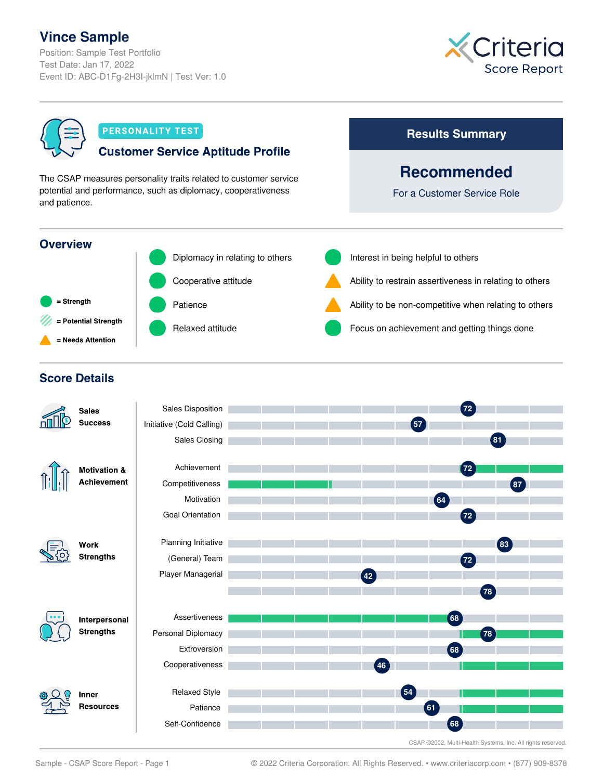## **Vince Sample**

Position: Sample Test Portfolio Test Date: Jan 17, 2022 Event ID: ABC-D1Fg-2H3I-jklmN | Test Ver: 1.0





Sample - CSAP Score Report - Page 1 © 2022 Criteria Corporation. All Rights Reserved. • www.criteriacorp.com • (877) 909-8378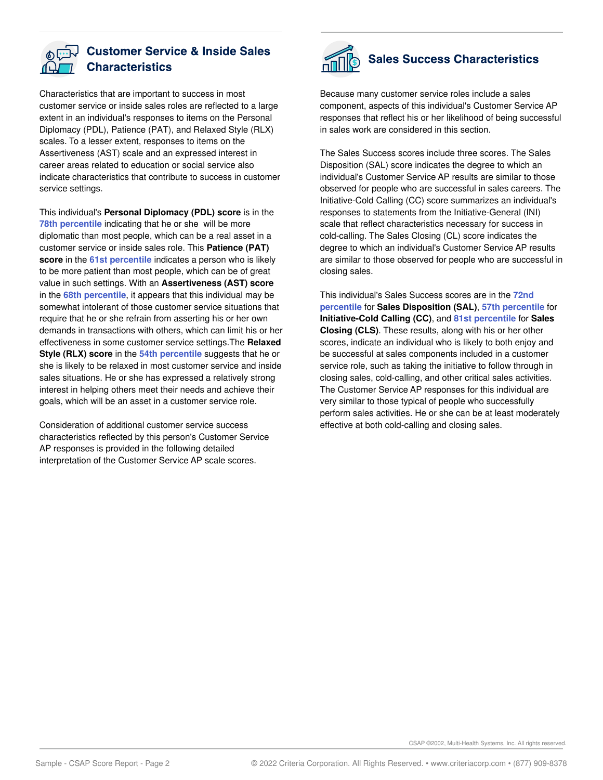

#### **Customer Service & Inside Sales Characteristics**

Characteristics that are important to success in most customer service or inside sales roles are reflected to a large extent in an individual's responses to items on the Personal Diplomacy (PDL), Patience (PAT), and Relaxed Style (RLX) scales. To a lesser extent, responses to items on the Assertiveness (AST) scale and an expressed interest in career areas related to education or social service also indicate characteristics that contribute to success in customer service settings.

This individual's **Personal Diplomacy (PDL) score** is in the **78th percentile** indicating that he or she will be more diplomatic than most people, which can be a real asset in a customer service or inside sales role. This **Patience (PAT) score** in the **61st percentile** indicates a person who is likely to be more patient than most people, which can be of great value in such settings. With an **Assertiveness (AST) score** in the **68th percentile**, it appears that this individual may be somewhat intolerant of those customer service situations that require that he or she refrain from asserting his or her own demands in transactions with others, which can limit his or her effectiveness in some customer service settings.The **Relaxed Style (RLX) score** in the **54th percentile** suggests that he or she is likely to be relaxed in most customer service and inside sales situations. He or she has expressed a relatively strong interest in helping others meet their needs and achieve their goals, which will be an asset in a customer service role.

Consideration of additional customer service success characteristics reflected by this person's Customer Service AP responses is provided in the following detailed interpretation of the Customer Service AP scale scores.



# Sales Success Characteristics

Because many customer service roles include a sales component, aspects of this individual's Customer Service AP responses that reflect his or her likelihood of being successful in sales work are considered in this section.

The Sales Success scores include three scores. The Sales Disposition (SAL) score indicates the degree to which an individual's Customer Service AP results are similar to those observed for people who are successful in sales careers. The Initiative-Cold Calling (CC) score summarizes an individual's responses to statements from the Initiative-General (INI) scale that reflect characteristics necessary for success in cold-calling. The Sales Closing (CL) score indicates the degree to which an individual's Customer Service AP results are similar to those observed for people who are successful in closing sales.

This individual's Sales Success scores are in the **72nd percentile** for **Sales Disposition (SAL)**, **57th percentile** for **Initiative-Cold Calling (CC)**, and **81st percentile** for **Sales Closing (CLS)**. These results, along with his or her other scores, indicate an individual who is likely to both enjoy and be successful at sales components included in a customer service role, such as taking the initiative to follow through in closing sales, cold-calling, and other critical sales activities. The Customer Service AP responses for this individual are very similar to those typical of people who successfully perform sales activities. He or she can be at least moderately effective at both cold-calling and closing sales.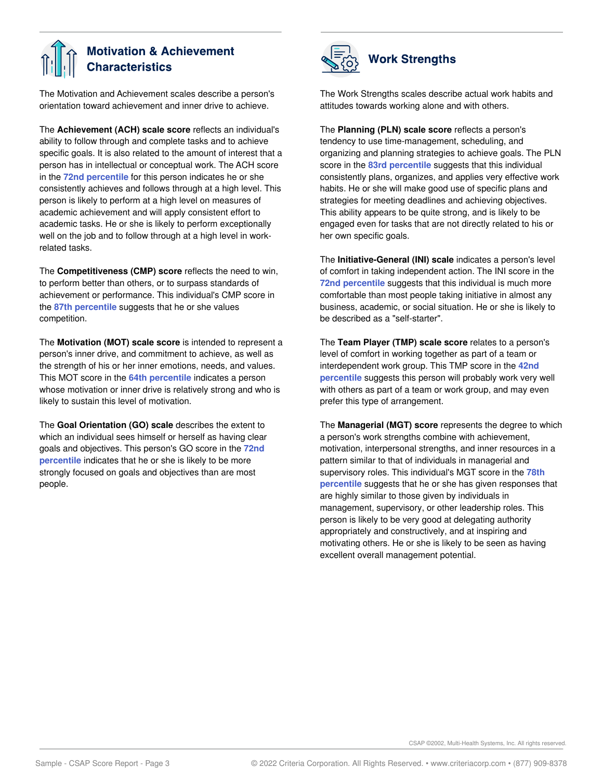### **Motivation & Achievement Characteristics**

The Motivation and Achievement scales describe a person's orientation toward achievement and inner drive to achieve.

The **Achievement (ACH) scale score** reflects an individual's ability to follow through and complete tasks and to achieve specific goals. It is also related to the amount of interest that a person has in intellectual or conceptual work. The ACH score in the **72nd percentile** for this person indicates he or she consistently achieves and follows through at a high level. This person is likely to perform at a high level on measures of academic achievement and will apply consistent effort to academic tasks. He or she is likely to perform exceptionally well on the job and to follow through at a high level in workrelated tasks.

The **Competitiveness (CMP) score** reflects the need to win, to perform better than others, or to surpass standards of achievement or performance. This individual's CMP score in the **87th percentile** suggests that he or she values competition.

The **Motivation (MOT) scale score** is intended to represent a person's inner drive, and commitment to achieve, as well as the strength of his or her inner emotions, needs, and values. This MOT score in the **64th percentile** indicates a person whose motivation or inner drive is relatively strong and who is likely to sustain this level of motivation.

The **Goal Orientation (GO) scale** describes the extent to which an individual sees himself or herself as having clear goals and objectives. This person's GO score in the **72nd percentile** indicates that he or she is likely to be more strongly focused on goals and objectives than are most people.



The Work Strengths scales describe actual work habits and attitudes towards working alone and with others.

The **Planning (PLN) scale score** reflects a person's tendency to use time-management, scheduling, and organizing and planning strategies to achieve goals. The PLN score in the **83rd percentile** suggests that this individual consistently plans, organizes, and applies very effective work habits. He or she will make good use of specific plans and strategies for meeting deadlines and achieving objectives. This ability appears to be quite strong, and is likely to be engaged even for tasks that are not directly related to his or her own specific goals.

The **Initiative-General (INI) scale** indicates a person's level of comfort in taking independent action. The INI score in the **72nd percentile** suggests that this individual is much more comfortable than most people taking initiative in almost any business, academic, or social situation. He or she is likely to be described as a "self-starter".

The **Team Player (TMP) scale score** relates to a person's level of comfort in working together as part of a team or interdependent work group. This TMP score in the **42nd percentile** suggests this person will probably work very well with others as part of a team or work group, and may even prefer this type of arrangement.

The **Managerial (MGT) score** represents the degree to which a person's work strengths combine with achievement, motivation, interpersonal strengths, and inner resources in a pattern similar to that of individuals in managerial and supervisory roles. This individual's MGT score in the **78th percentile** suggests that he or she has given responses that are highly similar to those given by individuals in management, supervisory, or other leadership roles. This person is likely to be very good at delegating authority appropriately and constructively, and at inspiring and motivating others. He or she is likely to be seen as having excellent overall management potential.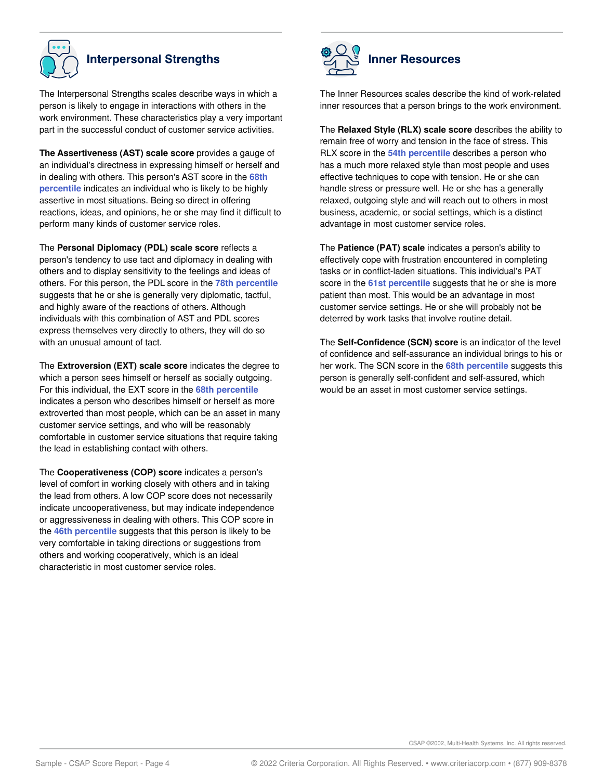

## **Interpersonal Strengths**

The Interpersonal Strengths scales describe ways in which a person is likely to engage in interactions with others in the work environment. These characteristics play a very important part in the successful conduct of customer service activities.

**The Assertiveness (AST) scale score** provides a gauge of an individual's directness in expressing himself or herself and in dealing with others. This person's AST score in the **68th percentile** indicates an individual who is likely to be highly assertive in most situations. Being so direct in offering reactions, ideas, and opinions, he or she may find it difficult to perform many kinds of customer service roles.

The **Personal Diplomacy (PDL) scale score** reflects a person's tendency to use tact and diplomacy in dealing with others and to display sensitivity to the feelings and ideas of others. For this person, the PDL score in the **78th percentile** suggests that he or she is generally very diplomatic, tactful, and highly aware of the reactions of others. Although individuals with this combination of AST and PDL scores express themselves very directly to others, they will do so with an unusual amount of tact.

The **Extroversion (EXT) scale score** indicates the degree to which a person sees himself or herself as socially outgoing. For this individual, the EXT score in the **68th percentile** indicates a person who describes himself or herself as more extroverted than most people, which can be an asset in many customer service settings, and who will be reasonably comfortable in customer service situations that require taking the lead in establishing contact with others.

The **Cooperativeness (COP) score** indicates a person's level of comfort in working closely with others and in taking the lead from others. A low COP score does not necessarily indicate uncooperativeness, but may indicate independence or aggressiveness in dealing with others. This COP score in the **46th percentile** suggests that this person is likely to be very comfortable in taking directions or suggestions from others and working cooperatively, which is an ideal characteristic in most customer service roles.



The Inner Resources scales describe the kind of work-related inner resources that a person brings to the work environment.

The **Relaxed Style (RLX) scale score** describes the ability to remain free of worry and tension in the face of stress. This RLX score in the **54th percentile** describes a person who has a much more relaxed style than most people and uses effective techniques to cope with tension. He or she can handle stress or pressure well. He or she has a generally relaxed, outgoing style and will reach out to others in most business, academic, or social settings, which is a distinct advantage in most customer service roles.

The **Patience (PAT) scale** indicates a person's ability to effectively cope with frustration encountered in completing tasks or in conflict-laden situations. This individual's PAT score in the **61st percentile** suggests that he or she is more patient than most. This would be an advantage in most customer service settings. He or she will probably not be deterred by work tasks that involve routine detail.

The **Self-Confidence (SCN) score** is an indicator of the level of confidence and self-assurance an individual brings to his or her work. The SCN score in the **68th percentile** suggests this person is generally self-confident and self-assured, which would be an asset in most customer service settings.